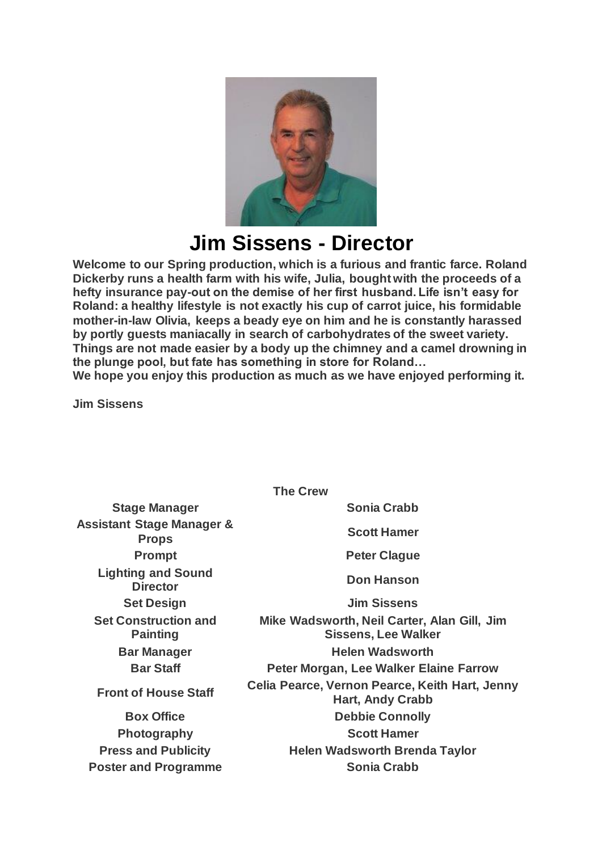

## **Jim Sissens - Director**

**Welcome to our Spring production, which is a furious and frantic farce. Roland Dickerby runs a health farm with his wife, Julia, bought with the proceeds of a hefty insurance pay-out on the demise of her first husband. Life isn't easy for Roland: a healthy lifestyle is not exactly his cup of carrot juice, his formidable mother-in-law Olivia, keeps a beady eye on him and he is constantly harassed by portly guests maniacally in search of carbohydrates of the sweet variety. Things are not made easier by a body up the chimney and a camel drowning in the plunge pool, but fate has something in store for Roland…**

**We hope you enjoy this production as much as we have enjoyed performing it.**

**Jim Sissens**

| <b>The Crew</b>                                      |                                                                           |
|------------------------------------------------------|---------------------------------------------------------------------------|
| <b>Stage Manager</b>                                 | <b>Sonia Crabb</b>                                                        |
| <b>Assistant Stage Manager &amp;</b><br><b>Props</b> | <b>Scott Hamer</b>                                                        |
| <b>Prompt</b>                                        | <b>Peter Clague</b>                                                       |
| <b>Lighting and Sound</b><br><b>Director</b>         | <b>Don Hanson</b>                                                         |
| <b>Set Design</b>                                    | <b>Jim Sissens</b>                                                        |
| <b>Set Construction and</b><br><b>Painting</b>       | Mike Wadsworth, Neil Carter, Alan Gill, Jim<br><b>Sissens, Lee Walker</b> |
| <b>Bar Manager</b>                                   | <b>Helen Wadsworth</b>                                                    |
| <b>Bar Staff</b>                                     | Peter Morgan, Lee Walker Elaine Farrow                                    |
| <b>Front of House Staff</b>                          | Celia Pearce, Vernon Pearce, Keith Hart, Jenny<br><b>Hart, Andy Crabb</b> |
| <b>Box Office</b>                                    | <b>Debbie Connolly</b>                                                    |
| <b>Photography</b>                                   | <b>Scott Hamer</b>                                                        |
| <b>Press and Publicity</b>                           | <b>Helen Wadsworth Brenda Taylor</b>                                      |
| <b>Poster and Programme</b>                          | <b>Sonia Crabb</b>                                                        |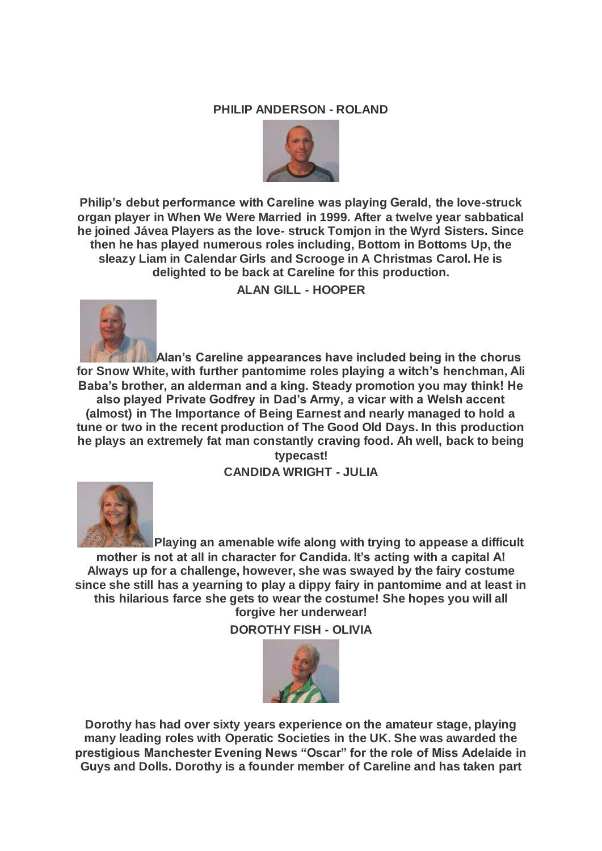## **PHILIP ANDERSON - ROLAND**



**Philip's debut performance with Careline was playing Gerald, the love-struck organ player in When We Were Married in 1999. After a twelve year sabbatical he joined Jávea Players as the love- struck Tomjon in the Wyrd Sisters. Since then he has played numerous roles including, Bottom in Bottoms Up, the sleazy Liam in Calendar Girls and Scrooge in A Christmas Carol. He is delighted to be back at Careline for this production.**

**ALAN GILL - HOOPER**



**Alan's Careline appearances have included being in the chorus for Snow White, with further pantomime roles playing a witch's henchman, Ali Baba's brother, an alderman and a king. Steady promotion you may think! He also played Private Godfrey in Dad's Army, a vicar with a Welsh accent (almost) in The Importance of Being Earnest and nearly managed to hold a tune or two in the recent production of The Good Old Days. In this production he plays an extremely fat man constantly craving food. Ah well, back to being** 

**typecast! CANDIDA WRIGHT - JULIA**



**Playing an amenable wife along with trying to appease a difficult mother is not at all in character for Candida. It's acting with a capital A! Always up for a challenge, however, she was swayed by the fairy costume since she still has a yearning to play a dippy fairy in pantomime and at least in this hilarious farce she gets to wear the costume! She hopes you will all forgive her underwear!**

**DOROTHY FISH - OLIVIA**



**Dorothy has had over sixty years experience on the amateur stage, playing many leading roles with Operatic Societies in the UK. She was awarded the prestigious Manchester Evening News "Oscar" for the role of Miss Adelaide in Guys and Dolls. Dorothy is a founder member of Careline and has taken part**